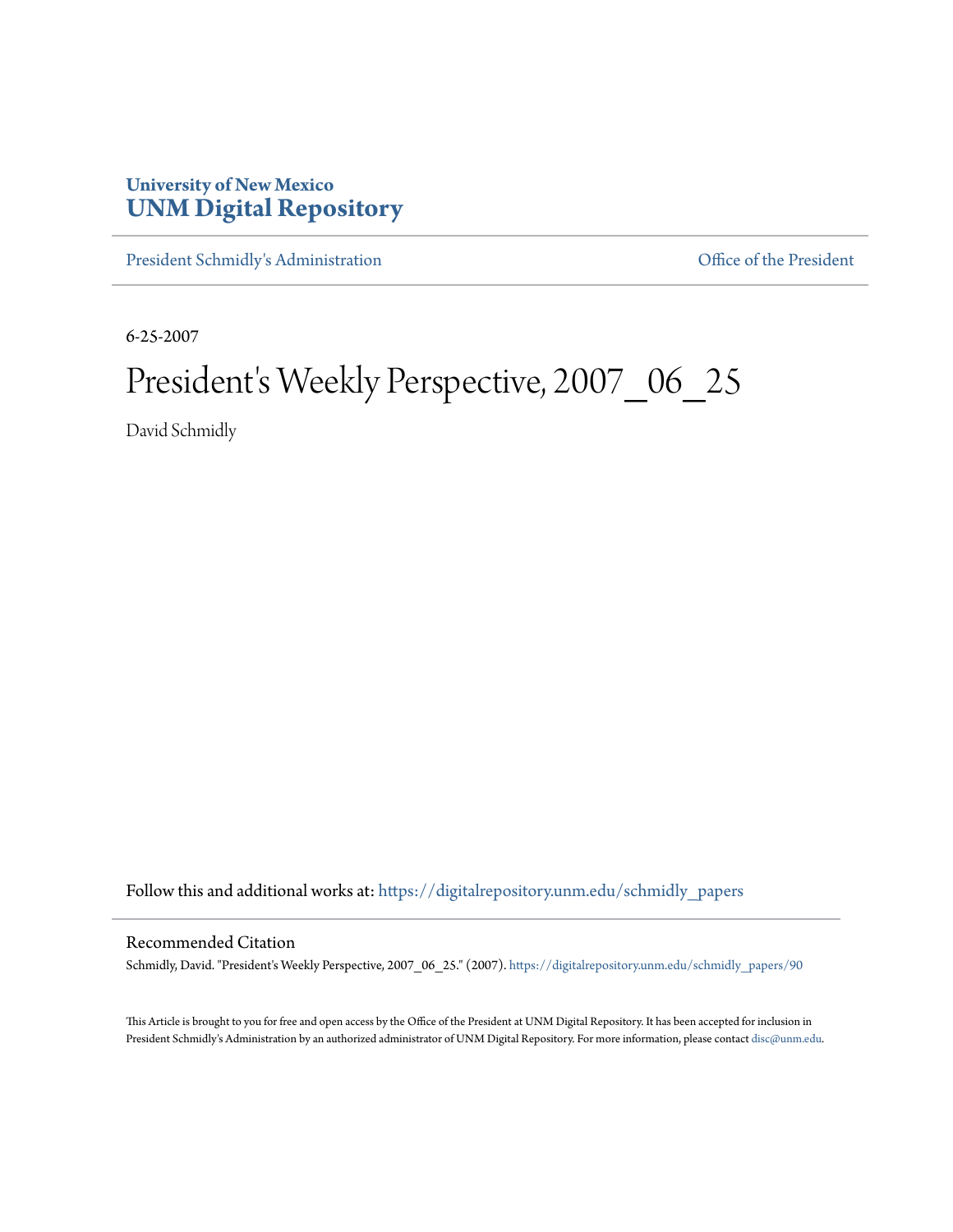## **University of New Mexico [UNM Digital Repository](https://digitalrepository.unm.edu?utm_source=digitalrepository.unm.edu%2Fschmidly_papers%2F90&utm_medium=PDF&utm_campaign=PDFCoverPages)**

[President Schmidly's Administration](https://digitalrepository.unm.edu/schmidly_papers?utm_source=digitalrepository.unm.edu%2Fschmidly_papers%2F90&utm_medium=PDF&utm_campaign=PDFCoverPages) [Office of the President](https://digitalrepository.unm.edu/ofc_president?utm_source=digitalrepository.unm.edu%2Fschmidly_papers%2F90&utm_medium=PDF&utm_campaign=PDFCoverPages)

6-25-2007

## President's Weekly Perspective, 2007\_06\_25

David Schmidly

Follow this and additional works at: [https://digitalrepository.unm.edu/schmidly\\_papers](https://digitalrepository.unm.edu/schmidly_papers?utm_source=digitalrepository.unm.edu%2Fschmidly_papers%2F90&utm_medium=PDF&utm_campaign=PDFCoverPages)

## Recommended Citation

Schmidly, David. "President's Weekly Perspective, 2007\_06\_25." (2007). [https://digitalrepository.unm.edu/schmidly\\_papers/90](https://digitalrepository.unm.edu/schmidly_papers/90?utm_source=digitalrepository.unm.edu%2Fschmidly_papers%2F90&utm_medium=PDF&utm_campaign=PDFCoverPages)

This Article is brought to you for free and open access by the Office of the President at UNM Digital Repository. It has been accepted for inclusion in President Schmidly's Administration by an authorized administrator of UNM Digital Repository. For more information, please contact [disc@unm.edu](mailto:disc@unm.edu).